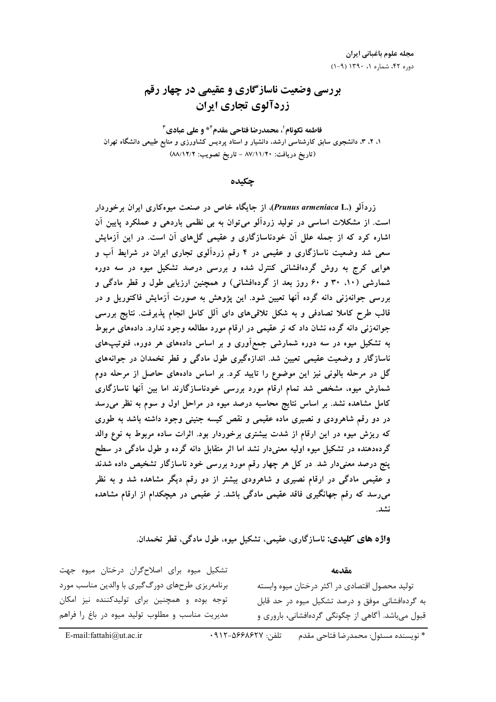## بررسی وضعیت ناسازگاری و عقیمی در چهار رقم زردآلوی تجاری ایران

فاطمه نكونام'، محمدرضا فتاحي مقدم'\* و على عبادي" ۱، ۲، ۳، دانشجوی سابق کارشناسی ارشد، دانشیار و استاد پردیس کشاورزی و منابع طبیعی دانشگاه تهران (تاريخ دريافت: ٨٧/١١/٢٠ - تاريخ تصويب: ٨٨/١٢/٢)

جكىدە

زردآلو (Prunus armeniaca L.)، از جایگاه خاص در صنعت میوهکاری ایران برخوردار است. از مشکلات اساسی در تولید زردآلو میتوان به بی نظمی باردهی و عملکرد پایین آن اشاره کرد که از جمله علل آن خودناسازگاری و عقیمی گل۵های آن است. در این آزمایش سعی شد وضعیت ناسازگاری و عقیمی در ۴ رقم زردآلوی تجاری ایران در شرایط آب و هوایی کرج به روش گردهافشانی کنترل شده و بررسی درصد تشکیل میوه در سه دوره شمارشی (۱۰، ۳۰ و ۶۰ روز بعد از گردهافشانی) و همچنین ارزیابی طول و قطر مادگی و بررسی جوانهزنی دانه گرده آنها تعیین شود. این پژوهش به صورت آزمایش فاکتوریل و در قالب طرح کاملا تصادفی و به شکل تلاقیهای دای آلل کامل انجام پذیرفت. نتایج بررسی جوانهزنی دانه گرده نشان داد که نر عقیمی در ارقام مورد مطالعه وجود ندارد. دادههای مربوط به تشکیل میوه در سه دوره شمارشی جمعآوری و بر اساس دادههای هر دوره، فنوتیپهای ناسازگار و وضعیت عقیمی تعیین شد. اندازهگیری طول مادگی و قطر تخمدان در جوانههای گل در مرحله بالونی نیز این موضوع را تایید کرد. بر اساس دادههای حاصل از مرحله دوم شمارش میوه، مشخص شد تمام ارقام مورد بررسی خودناسازگارند اما بین آنها ناسازگاری کامل مشاهده نشد. بر اساس نتایج محاسبه درصد میوه در مراحل اول و سوم به نظر می رسد در دو رقم شاهرودی و نصیری ماده عقیمی و نقص کیسه جنینی وجود داشته باشد به طوری که ریزش میوه در این ارقام از شدت بیشتری برخوردار بود. اثرات ساده مربوط به نوع والد گردهدهنده در تشکیل میوه اولیه معنیدار نشد اما اثر متقابل دانه گرده و طول مادگی در سطح <mark>پنج</mark> درصد معنیدار شد. در کل هر چهار رقم مورد بررسی خود ناسازگار تشخیص داده شدند و عقیمی مادگی در ارقام نصیری و شاهرودی بیشتر از دو رقم دیگر مشاهده شد و به نظر میرسد که رقم جهانگیری فاقد عقیمی مادگی باشد. نر عقیمی در هیچکدام از ارقام مشاهده نشد.

واژه هاي كليدي: ناسازگاري، عقيمي، تشكيل ميوه، طول مادگي، قطر تخمدان.

تشکیل میوه برای اصلاحگران درختان میوه جهت مقدمه برنامهریزی طرحهای دورگ گیری با والدین مناسب مورد تولید محصول اقتصادی در اکثر درختان میوه وابسته توجه بوده و همچنین برای تولیدکننده نیز امکان به گردهافشانی موفق و درصد تشکیل میوه در حد قابل مدیریت مناسب و مطلوب تولید میوه در باغ را فراهم قبول میباشد. آگاهی از چگونگی گردهافشانی، باروری و

\* نويسنده مسئول: محمدرضا فتاحي مقدم تلفن: ٩١٢-٥۶۶٨-٩١٢

E-mail: fattahi@ut.ac.ir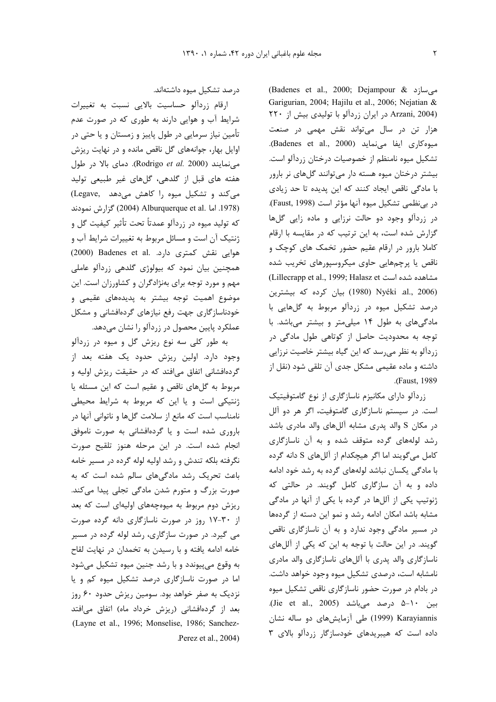(Badenes et al., 2000; Dejampour & مے سازد Garigurian, 2004; Hajilu et al., 2006; Nejatian & (Arzani, 2004 در ایران زردآلو با تولیدی بیش از ٢٢٠ هزار تن در سال میتواند نقش مهمی در صنعت ميوه كارى ايفا مى نمايد (Badenes et al., 2000). تشكيل ميوه نامنظم از خصوصيات درختان زردآلو است. بیشتر درختان میوه هسته دار میتوانند گلهای نر بارور با مادگی ناقص ایجاد کنند که این پدیده تا حد زیادی در بي نظمي تشكيل ميوه آنها مؤثر است (Faust, 1998). در زردآلو وجود دو حالت نرزایی و ماده زایی گلها گزارش شده است، به این ترتیب که در مقایسه با ارقام کاملا بارور در ارقام عقیم حضور تخمک های کوچک و ناقص یا پرچمهایی حاوی میکروسپورهای تخریب شده (Lillecrapp et al., 1999; Halasz et مشاهده شده است (1980 Nyéki .al., 2006) بيان كرده كه بيشترين درصد تشکیل میوه در زردآلو مربوط به گلهایی با مادگیهای به طول ١۴ میلی متر و بیشتر می باشد. با توجه به محدودیت حاصل از کوتاهی طول مادگی در زردآلو به نظر می رسد که این گیاه بیشتر خاصیت نرزایی داشته و ماده عقیمی مشکل جدی آن تلقی شود (نقل از (Faust, 1989).

زردآلو دارای مکانیزم ناسازگاری از نوع گامتوفیتیک است. در سیستم ناسازگاری گامتوفیت، اگر هر دو آلل در مكان S والد پدرى مشابه آللهاى والد مادرى باشد رشد لولههای گرده متوقف شده و به آن ناسازگاری کامل می گویند اما اگر هیچکدام از آلل های S دانه گرده با مادگی یکسان نباشد لولههای گرده به رشد خود ادامه داده و به آن سازگاری کامل گویند. در حالتی که ژنوتیپ یکی از آللها در گرده با یکی از آنها در مادگی مشابه باشد امکان ادامه رشد و نمو این دسته از گردهها در مسیر مادگی وجود ندارد و به آن ناسازگاری ناقص گویند. در این حالت با توجه به این که یکی از آللهای ناسازگاری والد پدری با آللهای ناسازگاری والد مادری نامشابه است، درصدی تشکیل میوه وجود خواهد داشت. در بادام در صورت حضور ناسازگاری ناقص تشکیل میوه بين 1٠-۵ درصد مىباشد (Jie et al., 2005). Karayiannis (1999) طی آزمایشهای دو ساله نشان داده است که هیبریدهای خودسازگار زردآلو بالای ۳

درصد تشكيل ميوه داشتهاند.

ارقام زردآلو حساسیت بالایی نسبت به تغییرات شرایط آب و هوایی دارند به طوری که در صورت عدم تأمین نیاز سرمایی در طول پاییز و زمستان و یا حتی در اوایل بهار، جوانههای گل ناقص مانده و در نهایت ریزش می نمایند (Rodrigo et al. 2000). دمای بالا در طول هفته های قبل از گلدهی، گلهای غیر طبیعی تولید می کند و تشکیل میوه را کاهش می دهد .(Legave 1978. اما .Alburquerque et al (2004) گزارش نمودند که تولید میوه در زردآلو عمدتاً تحت تأثیر کیفیت گل و ژنتیک آن است و مسائل مربوط به تغییرات شرایط آب و هوایی نقش کمتری دارد. .Badenes et al (2000) همچنین بیان نمود که بیولوژی گلدهی زردآلو عاملی مهم و مورد توجه برای بهنژادگران و کشاورزان است. این موضوع اهمیت توجه بیشتر به پدیدههای عقیمی و خودناسازگاری جهت رفع نیازهای گردهافشانی و مشکل عملکرد پایین محصول در زردآلو را نشان میدهد.

به طور کلی سه نوع ریزش گل و میوه در زردآلو وجود دارد. اولین ریزش حدود یک هفته بعد از گردهافشانی اتفاق میافتد که در حقیقت ریزش اولیه و مربوط به گلهای ناقص و عقیم است که این مسئله یا ژنتیکی است و یا این که مربوط به شرایط محیطی نامناسب است که مانع از سلامت گلها و ناتوانی آنها در باروری شده است و یا گردهافشانی به صورت ناموفق انجام شده است. در این مرحله هنوز تلقیح صورت نگرفته بلکه تندش و رشد اولیه لوله گرده در مسیر خامه باعث تحریک رشد مادگیهای سالم شده است که به صورت بزرگ و متورم شدن مادگی تجلی پیدا میکند. ریزش دوم مربوط به میوهچههای اولیهای است که بعد از ۳۰-۱۷ روز در صورت ناسازگاری دانه گرده صورت مي گيرد. در صورت سازگاري، رشد لوله گرده در مسير خامه ادامه یافته و با رسیدن به تخمدان در نهایت لقاح به وقوع میپیوندد و با رشد جنین میوه تشکیل میشود اما در صورت ناسازگاری درصد تشکیل میوه کم و یا نزدیک به صفر خواهد بود. سومین ریزش حدود ۶۰ روز بعد از گردهافشانی (ریزش خرداد ماه) اتفاق می افتد (Layne et al., 1996; Monselise, 1986; Sanchez-Perez et al., 2004)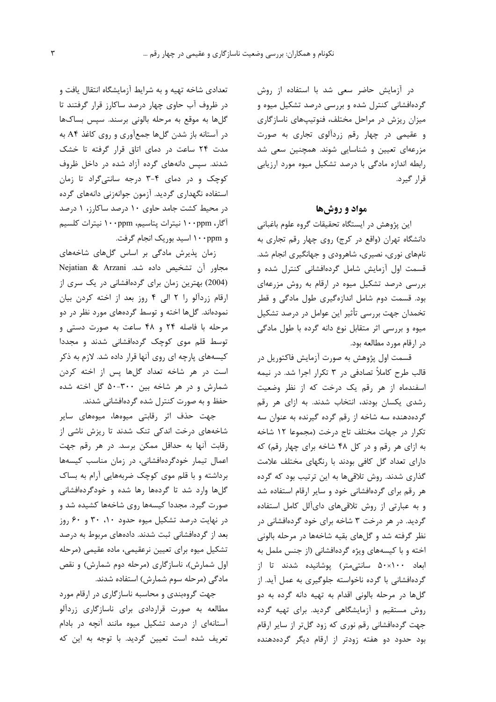در آزمایش حاضر سعی شد با استفاده از روش گردهافشانی کنترل شده و بررسی درصد تشکیل میوه و میزان ریزش در مراحل مختلف، فنوتیپهای ناسازگاری و عقیمی در چهار رقم زردآلوی تجاری به صورت مزرعهای تعیین و شناسایی شوند. همچنین سعی شد رابطه اندازه مادگی با درصد تشکیل میوه مورد ارزیابی قرا, گیرد.

## مواد و روشها

این پژوهش در ایستگاه تحقیقات گروه علوم باغبانی دانشگاه تهران (واقع در کرج) روی چهار رقم تجاری به نامهای نوری، نصیری، شاهرودی و جهانگیری انجام شد. قسمت اول آزمایش شامل گردهافشانی کنترل شده و بررسی درصد تشکیل میوه در ارقام به روش مزرعهای بود. قسمت دوم شامل اندازهگیری طول مادگی و قطر تخمدان جهت بررسی تأثیر این عوامل در درصد تشکیل میوه و بررسی اثر متقابل نوع دانه گرده با طول مادگی در ارقام مورد مطالعه بود.

قسمت اول پژوهش به صورت آزمایش فاکتوریل در قالب طرح کاملاً تصادفی در ۳ تکرار اجرا شد. در نیمه اسفندماه از هر رقم یک درخت که از نظر وضعیت رشدی یکسان بودند، انتخاب شدند. به ازای هر رقم گردهدهنده سه شاخه از رقم گرده گیرنده به عنوان سه تكرار در جهات مختلف تاج درخت (مجموعا ١٢ شاخه به ازای هر رقم و در کل ۴۸ شاخه برای چهار رقم) که دارای تعداد گل کافی بودند با رنگهای مختلف علامت گذاری شدند. روش تلاقیها به این ترتیب بود که گرده هر رقم برای گردهافشانی خود و سایر ارقام استفاده شد و به عبارتی از روش تلاقیهای دایآلل کامل استفاده گردید. در هر درخت ۳ شاخه برای خود گردهافشانی در نظر گرفته شد و گلهای بقیه شاخهها در مرحله بالونی اخته و با کیسههای ویژه گردهافشانی (از جنس ململ به ابعاد ۵۰×۵۰ سانتی متر) یوشانیده شدند تا از گردهافشانی با گرده ناخواسته جلوگیری به عمل آید. از گلها در مرحله بالونی اقدام به تهیه دانه گرده به دو روش مستقیم و آزمایشگاهی گردید. برای تهیه گرده جهت گردهافشانی رقم نوری که زود گلتر از سایر ارقام بود حدود دو هفته زودتر از ارقام دیگر گردهدهنده

تعدادی شاخه تهیه و به شرایط آزمایشگاه انتقال یافت و در ظروف آب حاوی چهار درصد ساکارز قرار گرفتند تا گلها به موقع به مرحله بالونی برسند. سپس بساکها در آستانه باز شدن گلها جمعآوری و روی کاغذ A۴ به مدت ۲۴ ساعت در دمای اتاق قرار گرفته تا خشک شدند. سپس دانههای گرده آزاد شده در داخل ظروف کوچک و در دمای ۴-۳ درجه سانتی گراد تا زمان استفاده نگهداری گردید. آزمون جوانهزنی دانههای گرده در محیط کشت جامد حاوی ۱۰ درصد ساکارز، ۱ درصد آگار، ۱۰۰ppm نیترات پتاسیم، ۱۰۰ppm نیترات کلسیم و ۱۰۰ppm اسید بوریک انجام گرفت.

زمان پذیرش مادگی بر اساس گلهای شاخههای Mejatian & Arzani مجاور آن تشخیص داده شد. (2004) بهترین زمان برای گردهافشانی در یک سری از ارقام زردآلو را ٢ الى ۴ روز بعد از اخته كردن بيان نمودهاند. گلها اخته و توسط گردههای مورد نظر در دو مرحله با فاصله ٢۴ و ۴۸ ساعت به صورت دستی و توسط قلم موی کوچک گردهافشانی شدند و مجددا کیسههای پارچه ای روی آنها قرار داده شد. لازم به ذکر است در هر شاخه تعداد گلها پس از اخته کردن شمارش و در هر شاخه بین ۳۰۰-۵۰ گل اخته شده حفظ و به صورت کنترل شده گردهافشانی شدند.

جهت حذف اثر رقابتی میوهها، میوههای سایر شاخههای درخت اندکی تنک شدند تا ریزش ناشی از رقابت آنها به حداقل ممكن برسد. در هر رقم جهت اعمال تیمار خودگردهافشانی، در زمان مناسب کیسهها برداشته و با قلم موی کوچک ضربههایی آرام به بساک گلها وارد شد تا گردهها رها شده و خودگردهافشانی صورت گیرد. مجددا کیسهها روی شاخهها کشیده شد و در نهایت درصد تشکیل میوه حدود ۲۰، ۳۰ و ۶۰ روز بعد از گردهافشانی ثبت شدند. دادههای مربوط به درصد تشکیل میوه برای تعیین نرعقیمی، ماده عقیمی (مرحله اول شمارش)، ناسازگاری (مرحله دوم شمارش) و نقص مادگی (مرحله سوم شمارش) استفاده شدند.

جهت گروهبندی و محاسبه ناسازگاری در ارقام مورد مطالعه به صورت قراردادی برای ناسازگاری زردآلو آستانهای از درصد تشکیل میوه مانند آنچه در بادام تعریف شده است تعیین گردید. با توجه به این که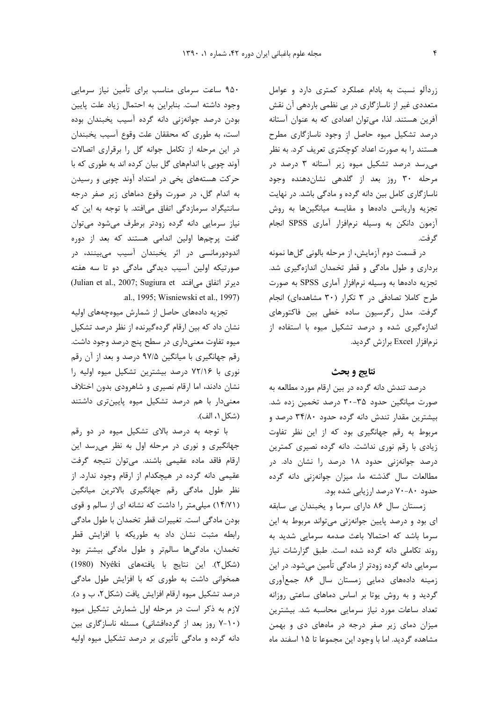زردآلو نسبت به بادام عملکرد کمتری دارد و عوامل متعددی غیر از ناسازگاری در بی نظمی باردهی آن نقش آفرین هستند. لذا، میتوان اعدادی که به عنوان آستانه درصد تشکیل میوه حاصل از وجود ناسازگاری مطرح هستند را به صورت اعداد کوچکتری تعریف کرد. به نظر می رسد درصد تشکیل میوه زیر آستانه ۳ درصد در مرحله ۳۰ روز بعد از گلدهی نشاندهنده وجود ناسازگاری کامل بین دانه گرده و مادگی باشد. در نهایت تجزيه واريانس دادهها و مقايسه ميانگينها به روش آزمون دانکن به وسیله نرمافزار آماری SPSS انجام گر فت.

در قسمت دوم آزمایش، از مرحله بالونی گلها نمونه برداری و طول مادگی و قطر تخمدان اندازهگیری شد. تجزیه دادهها به وسیله نرمافزار آماری SPSS به صورت طرح کاملا تصادفی در ۳ تکرار (۳۰ مشاهدهای) انجام گرفت. مدل رگرسیون ساده خطی بین فاکتورهای اندازهگیری شده و درصد تشکیل میوه با استفاده از نرمافزار Excel برازش گردید.

## نتايج و بحث

درصد تندش دانه گرده در بین ارقام مورد مطالعه به صورت میانگین حدود ۳۵-۳۰ درصد تخمین زده شد. بیشترین مقدار تندش دانه گرده حدود ۳۴/۸۰ درصد و مربوط به رقم جهانگیری بود که از این نظر تفاوت زیادی با رقم نوری نداشت. دانه گرده نصیری کمترین درصد جوانهزنی حدود ۱۸ درصد را نشان داد. در مطالعات سال گذشته ما، میزان جوانهزنی دانه گرده حدود ۸۰–۷۰ درصد ارزیابی شده بود.

زمستان سال ۸۶ دارای سرما و یخبندان بی سابقه ای بود و درصد پایین جوانهزنی میتواند مربوط به این سرما باشد که احتمالا باعث صدمه سرمایی شدید به روند تکاملی دانه گرده شده است. طبق گزارشات نیاز سرمایی دانه گرده زودتر از مادگی تأمین میشود. در این زمینه دادههای دمایی زمستان سال ۸۶ جمعآوری گردید و به روش یوتا بر اساس دماهای ساعتی روزانه تعداد ساعات مورد نیاز سرمایی محاسبه شد. بیشترین میزان دمای زیر صفر درجه در ماههای دی و بهمن مشاهده گردید. اما با وجود این مجموعا تا ۱۵ اسفند ماه

۹۵۰ ساعت سرمای مناسب برای تأمین نیاز سرمایی وجود داشته است. بنابراین به احتمال زیاد علت پایین بودن درصد جوانهزنی دانه گرده آسیب یخبندان بوده است، به طوری که محققان علت وقوع آسیب یخبندان در این مرحله از تکامل جوانه گل را برقراری اتصالات آوند چوبی با اندامهای گل بیان کرده اند به طوری که با حرکت هستههای یخی در امتداد آوند چوبی و رسیدن به اندام گل، در صورت وقوع دماهای زیر صفر درجه سانتیگراد سرمازدگی اتفاق میافتد. با توجه به این که نیاز سرمایی دانه گرده زودتر برطرف میشود میتوان گفت پرچمها اولین اندامی هستند که بعد از دوره اندودورمانسی در اثر یخبندان آسیب میبینند، در صورتیکه اولین آسیب دیدگی مادگی دو تا سه هفته (Julian et al., 2007; Sugiura et میافتد) .al., 1995; Wisniewski et al., 1997).

تجزیه دادههای حاصل از شمارش میوهچههای اولیه نشان داد که بین ارقام گردهگیرنده از نظر درصد تشکیل میوه تفاوت معنیداری در سطح پنج درصد وجود داشت. رقم جهانگیری با میانگین ۹۷/۵ درصد و بعد از آن رقم نوری با ۷۲/۱۶ درصد بیشترین تشکیل میوه اولیه را نشان دادند، اما ارقام نصیری و شاهرودی بدون اختلاف معنیدار با هم درصد تشکیل میوه پایینتری داشتند (شكل ١، الف).

با توجه به درصد بالای تشکیل میوه در دو رقم جهانگیری و نوری در مرحله اول به نظر می رسد این ارقام فاقد ماده عقيمي باشند. مي توان نتيجه گرفت عقیمی دانه گرده در هیچکدام از ارقام وجود ندارد. از نظر طول مادگی رقم جهانگیری بالاترین میانگین (۱۴/۷۱) میلی متر را داشت که نشانه ای از سالم و قوی بودن مادگی است. تغییرات قطر تخمدان با طول مادگی رابطه مثبت نشان داد به طوریکه با افزایش قطر تخمدان، مادگیها سالمتر و طول مادگی بیشتر بود (شكل ٢). اين نتايج با يافتههاى Nyéki (1980) همخوانی داشت به طوری که با افزایش طول مادگی درصد تشکیل میوه ارقام افزایش یافت (شکل ۲، ب و د). لازم به ذکر است در مرحله اول شمارش تشکیل میوه (۱۰-۷ روز بعد از گردهافشانی) مسئله ناسازگاری بین دانه گرده و مادگی تأثیری بر درصد تشکیل میوه اولیه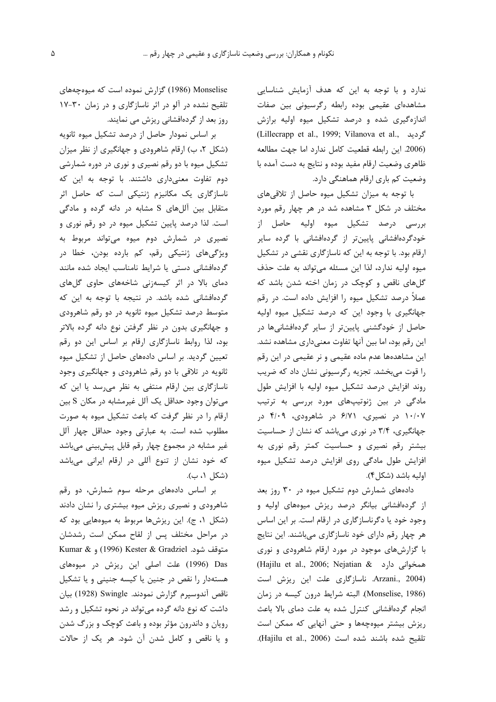ندارد و با توجه به این که هدف آزمایش شناسایی مشاهدهای عقیمی بوده رابطه رگرسیونی بین صفات اندازهگیری شده و درصد تشکیل میوه اولیه برازش (Lillecrapp et al., 1999; Vilanova et al., گردید (2006. این رابطه قطعیت کامل ندارد اما جهت مطالعه ظاهري وضعيت ارقام مفيد بوده و نتايج به دست آمده با وضعیت کم باری ارقام هماهنگی دارد.

با توجه به میزان تشکیل میوه حاصل از تلاقیهای مختلف در شکل ۳ مشاهده شد در هر چهار رقم مورد بررسی درصد تشکیل میوه اولیه حاصل از خودگردهافشانی پایینتر از گردهافشانی با گرده سایر ارقام بود. با توجه به این که ناسازگاری نقشی در تشکیل میوه اولیه ندارد، لذا این مسئله میتواند به علت حذف گلهای ناقص و کوچک در زمان اخته شدن باشد که عملاً درصد تشکیل میوه را افزایش داده است. در رقم جهانگیری با وجود این که درصد تشکیل میوه اولیه حاصل از خودگشنی پایینتر از سایر گردهافشانیها در این رقم بود، اما بین آنها تفاوت معنیداری مشاهده نشد. این مشاهدهها عدم ماده عقیمی و نر عقیمی در این رقم را قوت میبخشد. تجزیه رگرسیونی نشان داد که ضریب روند افزایش درصد تشکیل میوه اولیه با افزایش طول مادگی در بین ژنوتیپهای مورد بررسی به ترتیب ۱۰/۰۷ در نصیری، ۶/۷۱ در شاهرودی، ۴/۰۹ در جهانگیری، ۳/۴ در نوری می باشد که نشان از حساسیت بیشتر رقم نصیری و حساسیت کمتر رقم نوری به افزایش طول مادگی روی افزایش درصد تشکیل میوه اوليه باشد (شكل ۴).

دادههای شمارش دوم تشکیل میوه در ۳۰ روز بعد از گردهافشانی بیانگر درصد ریزش میوههای اولیه و وجود خود یا دگرناسازگاری در ارقام است. بر این اساس هر چهار رقم دارای خود ناسازگاری میباشند. این نتایج با گزارشهای موجود در مورد ارقام شاهرودی و نوری (Hajilu et al., 2006; Nejatian & همخوانی دارد) Arzani., 2004). ناسازگاری علت این ریزش است (Monselise, 1986). البته شرايط درون كيسه در زمان انجام گردهافشانی کنترل شده به علت دمای بالا باعث ریزش بیشتر میوهچهها و حتی آنهایی که ممکن است تلقيح شده باشند شده است (Hajilu et al., 2006).

Monselise (1986) گزارش نموده است که میوهچههای تلقیح نشده در آلو در اثر ناسازگاری و در زمان ۳۰-۱۷ روز بعد از گردهافشانی ریزش می نمایند.

بر اساس نمودار حاصل از درصد تشکیل میوه ثانویه (شکل ۲، ب) ارقام شاهرودی و جهانگیری از نظر میزان تشکیل میوه با دو رقم نصیری و نوری در دوره شمارشی دوم تفاوت معنیداری داشتند. با توجه به این که ناسازگاری یک مکانیزم ژنتیکی است که حاصل اثر متقابل بين آللهاى S مشابه در دانه گرده و مادگى است. لذا درصد پایین تشکیل میوه در دو رقم نوری و نصیری در شمارش دوم میوه میتواند مربوط به ویژگیهای ژنتیکی رقم، کم بارده بودن، خطا در گردهافشانی دستی یا شرایط نامناسب ایجاد شده مانند دمای بالا در اثر کیسهزنی شاخههای حاوی گلهای گردهافشانی شده باشد. در نتیجه با توجه به این که متوسط درصد تشکیل میوه ثانویه در دو رقم شاهرودی و جهانگیری بدون در نظر گرفتن نوع دانه گرده بالاتر بود، لذا روابط ناسازگاری ارقام بر اساس این دو رقم تعیین گردید. بر اساس دادههای حاصل از تشکیل میوه ثانویه در تلاقی با دو رقم شاهرودی و جهانگیری وجود ناسازگاری بین ارقام منتفی به نظر میرسد یا این که می توان وجود حداقل یک آلل غیرمشابه در مکان S بین ارقام را در نظر گرفت که باعث تشکیل میوه به صورت مطلوب شده است. به عبارتی وجود حداقل چهار آلل غیر مشابه در مجموع چهار رقم قابل پیشبینی میباشد که خود نشان از تنوع آللی در ارقام ایرانی میباشد (شكل ۱، ب).

بر اساس دادههای مرحله سوم شمارش، دو رقم شاهرودی و نصیری ریزش میوه بیشتری را نشان دادند (شکل ۱، ج). این ریزشها مربوط به میوههایی بود که در مراحل مختلف پس از لقاح ممکن است رشدشان متوقف شود. Kumar & (1996) Kester & Gradziel و Kumar Das (1996) علت اصلی این ریزش در میوههای هستهدار را نقص در جنین یا کیسه جنینی و یا تشکیل ناقص آندوسپرم گزارش نمودند. Swingle (1928) بيان داشت که نوع دانه گرده میتواند در نحوه تشکیل و رشد رویان و داندرون مؤثر بوده و باعث کوچک و بزرگ شدن و یا ناقص و کامل شدن آن شود. هر یک از حالات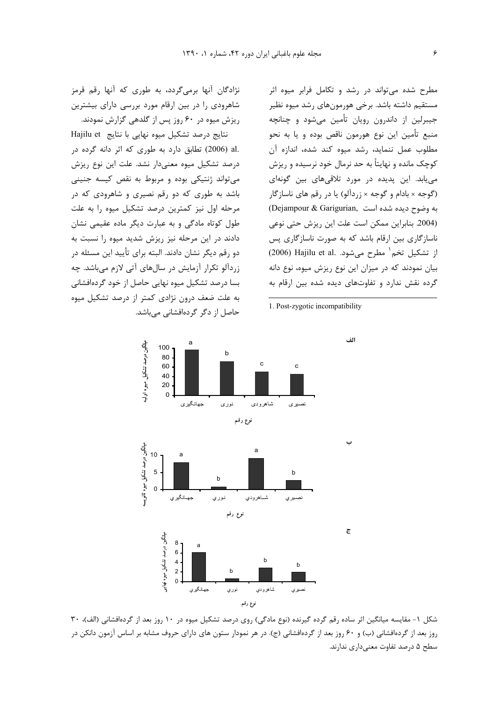نژادگان آنها برمیگردد، به طوری که آنها رقم قرمز شاهرودی را در بین ارقام مورد بررسی دارای بیشترین ریزش میوه در ۶۰ روز پس از گلدهی گزارش نمودند.

نتایج درصد تشکیل میوه نهایی با نتایج Hajilu et .al (2006) تطابق دارد به طوری که اثر دانه گرده در درصد تشکیل میوه معنیدار نشد. علت این نوع ریزش مي تواند ژنتيکي بوده و مربوط به نقص کيسه جنيني باشد به طوری که دو رقم نصیری و شاهرودی که در مرحله اول نیز کمترین درصد تشکیل میوه را به علت طول کوتاه مادگی و به عبارت دیگر ماده عقیمی نشان دادند در این مرحله نیز ریزش شدید میوه را نسبت به دو رقم دیگر نشان دادند. البته برای تأیید این مسئله در زردآلو تکرار آزمایش در سالهای آتی لازم میباشد. چه بسا درصد تشکیل میوه نهایی حاصل از خود گردهافشانی به علت ضعف درون نژادی کمتر از درصد تشکیل میوه حاصل از دگر گردهافشانی میباشد.

مطرح شده می تواند در رشد و تکامل فرابر میوه اثر مستقیم داشته باشد. برخی هورمونهای رشد میوه نظیر جیبرلین از داندرون رویان تأمین میشود و چنانچه منبع تأمين اين نوع هورمون ناقص بوده و يا به نحو مطلوب عمل ننمايد، رشد ميوه كند شده، اندازه آن کوچک مانده و نهایتاً به حد نرمال خود نرسیده و ریزش می یابد. این پدیده در مورد تلاقی های بین گونهای (گوجه × بادام و گوجه × زردآلو) یا در رقم های ناسازگار (Dejampour & Garigurian, به وضوح دیده شده است (2004. بنابراین ممکن است علت این ریزش حتی نوعی ناسازگاری بین ارقام باشد که به صورت ناسازگاری پس از تشكيل تخم مطرح مي شود. .(2006) Hajilu et al بیان نمودند که در میزان این نوع ریزش میوه، نوع دانه گرده نقش ندارد و تفاوتهای دیده شده بین ارقام به

1. Post-zygotic incompatibility



شکل ۱- مقایسه میانگین اثر ساده رقم گرده گیرنده (نوع مادگی) روی درصد تشکیل میوه در ۱۰ روز بعد از گردهافشانی (الف)، ۳۰ روز بعد از گردهافشانی (ب) و ۶۰ روز بعد از گردهافشانی (ج). در هر نمودار ستون های دارای حروف مشابه بر اساس آزمون دانکن در سطح ۵ درصد تفاوت معنی داری ندارند.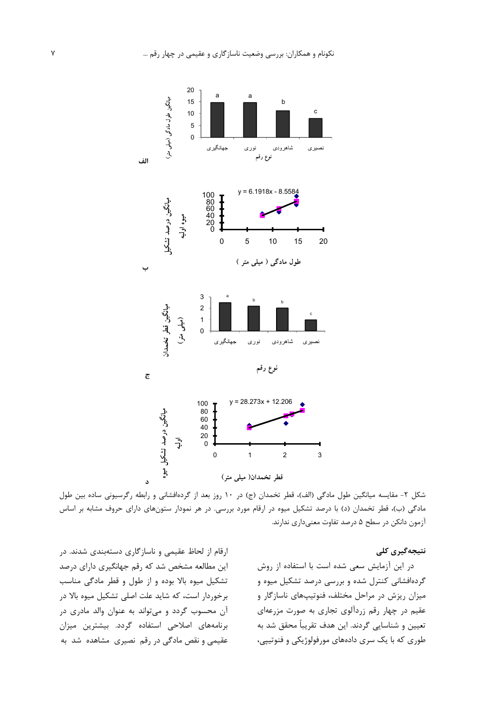

شکل ۲- مقایسه میانگین طول مادگی (الف)، قطر تخمدان (ج) در ۱۰ روز بعد از گردهافشانی و رابطه رگرسیونی ساده بین طول مادگی (ب)، قطر تخمدان (د) با درصد تشکیل میوه در ارقام مورد بررسی. در هر نمودار ستونهای دارای حروف مشابه بر اساس آزمون دانكن در سطح ۵ درصد تفاوت معنىدارى ندارند.

نتیجەگیری کلی

ارقام از لحاظ عقیمی و ناسازگاری دستهبندی شدند. در این مطالعه مشخص شد که رقم جهانگیری دارای درصد تشکیل میوه بالا بوده و از طول و قطر مادگی مناسب برخوردار است، که شاید علت اصلی تشکیل میوه بالا در آن محسوب گردد و میتواند به عنوان والد مادری در برنامههای اصلاحی استفاده گردد. بیشترین میزان عقیمی و نقص مادگی در رقم نصیری مشاهده شد به

در این آزمایش سعی شده است با استفاده از روش گردهافشانی کنترل شده و بررسی درصد تشکیل میوه و میزان ریزش در مراحل مختلف، فنوتیپهای ناسازگار و عقیم در چهار رقم زردآلوی تجاری به صورت مزرعهای تعيين و شناسايي گردند. اين هدف تقريباً محقق شد به طوری که با یک سری دادههای مورفولوژیکی و فنوتیپی،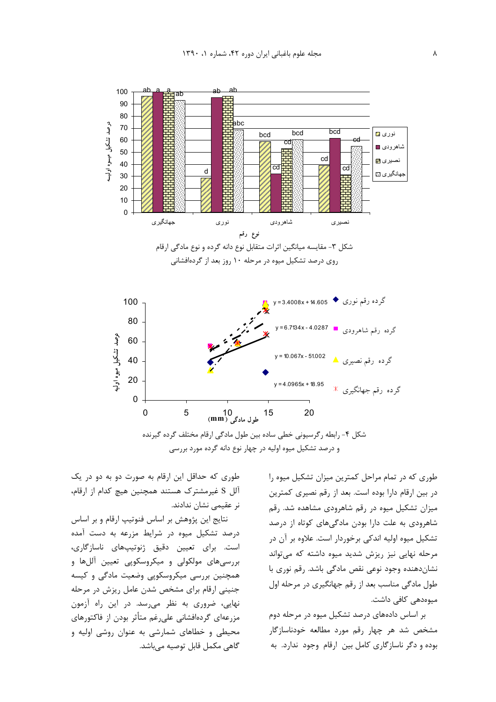

و درصد تشکیل میوه اولیه در چهار نوع دانه گرده مورد بررسی

طوری که در تمام مراحل کمترین میزان تشکیل میوه را در بین ارقام دارا بوده است. بعد از رقم نصیری کمترین میزان تشکیل میوه در رقم شاهرودی مشاهده شد. رقم شاهرودی به علت دارا بودن مادگیهای کوتاه از درصد تشکیل میوه اولیه اندکی برخوردار است. علاوه بر آن در مرحله نهایی نیز ریزش شدید میوه داشته که می تواند نشان دهنده وجود نوعی نقص مادگی باشد. رقم نوری با طول مادگی مناسب بعد از رقم جهانگیری در مرحله اول میوەدھے کافی داشت.

بر اساس دادههای درصد تشکیل میوه در مرحله دوم مشخص شد هر چهار رقم مورد مطالعه خودناسازگار بوده و دگر ناسازگاری کامل بین ارقام وجود ندارد. به

طوری که حداقل این ارقام به صورت دو به دو در یک آلل S غیرمشترک هستند همچنین هیچ کدام از ارقام، نر عقیمی نشان ندادند.

نتایج این پژوهش بر اساس فنوتیپ ارقام و بر اساس درصد تشکیل میوه در شرایط مزرعه به دست آمده است. برای تعیین دقیق ژنوتیپهای ناسازگاری، بررسیهای مولکولی و میکروسکوپی تعیین آللها و همچنین بررسی میکروسکوپی وضعیت مادگی و کیسه جنینی ارقام برای مشخص شدن عامل ریزش در مرحله نهایی، ضروری به نظر می رسد. در این راه آزمون مزرعهای گردهافشانی علی غم متأثر بودن از فاکتورهای محیطی و خطاهای شمارشی به عنوان روشی اولیه و گاهي مكمل قابل توصيه ميباشد.